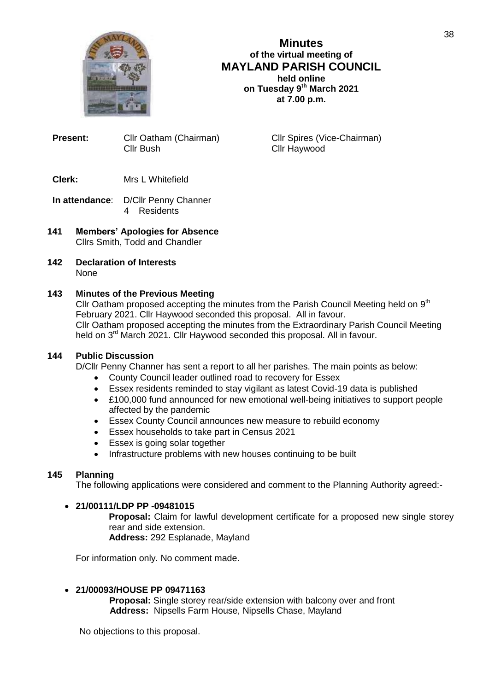

**Minutes of the virtual meeting of MAYLAND PARISH COUNCIL held online on Tuesday 9th March 2021 at 7.00 p.m.**

**Present:** Cllr Oatham (Chairman) Cllr Spires (Vice-Chairman) Cllr Bush Cllr Haywood

- **Clerk:** Mrs L Whitefield
- **In attendance**: D/Cllr Penny Channer 4 Residents
- **141 Members' Apologies for Absence** Cllrs Smith, Todd and Chandler
- **142 Declaration of Interests None**

### **143 Minutes of the Previous Meeting**

Cllr Oatham proposed accepting the minutes from the Parish Council Meeting held on  $9<sup>th</sup>$ February 2021. Cllr Haywood seconded this proposal. All in favour. Cllr Oatham proposed accepting the minutes from the Extraordinary Parish Council Meeting held on 3<sup>rd</sup> March 2021. Cllr Haywood seconded this proposal. All in favour.

### **144 Public Discussion**

D/Cllr Penny Channer has sent a report to all her parishes. The main points as below:

- County Council leader outlined road to recovery for Essex
- Essex residents reminded to stay vigilant as latest Covid-19 data is published
- £100,000 fund announced for new emotional well-being initiatives to support people affected by the pandemic
- Essex County Council announces new measure to rebuild economy
- Essex households to take part in Census 2021
- Essex is going solar together
- Infrastructure problems with new houses continuing to be built

### **145 Planning**

The following applications were considered and comment to the Planning Authority agreed:-

#### **21/00111/LDP PP -09481015**

**Proposal:** Claim for lawful development certificate for a proposed new single storey rear and side extension.

**Address:** 292 Esplanade, Mayland

For information only. No comment made.

#### **21/00093/HOUSE PP 09471163**

 **Proposal:** Single storey rear/side extension with balcony over and front **Address:** Nipsells Farm House, Nipsells Chase, Mayland

No objections to this proposal.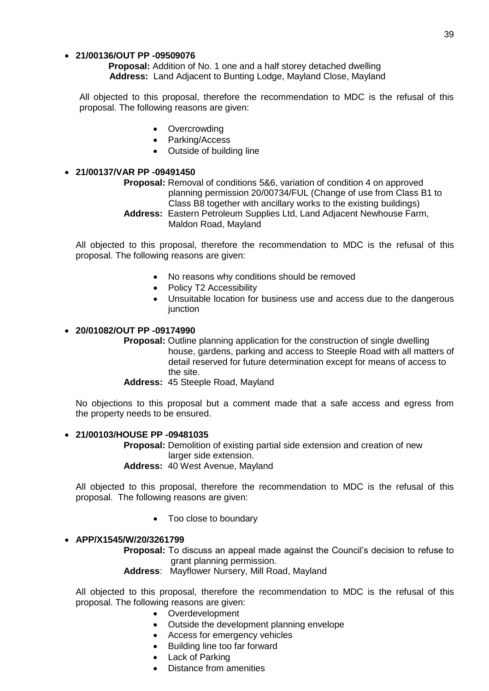#### **21/00136/OUT PP -09509076**

 **Proposal:** Addition of No. 1 one and a half storey detached dwelling **Address:** Land Adjacent to Bunting Lodge, Mayland Close, Mayland

All objected to this proposal, therefore the recommendation to MDC is the refusal of this proposal. The following reasons are given:

- Overcrowding
- Parking/Access
- Outside of building line

# **21/00137/VAR PP -09491450**

- **Proposal:** Removal of conditions 5&6, variation of condition 4 on approved planning permission 20/00734/FUL (Change of use from Class B1 to Class B8 together with ancillary works to the existing buildings)
	- **Address:** Eastern Petroleum Supplies Ltd, Land Adjacent Newhouse Farm, Maldon Road, Mayland

All objected to this proposal, therefore the recommendation to MDC is the refusal of this proposal. The following reasons are given:

- No reasons why conditions should be removed
- Policy T2 Accessibility
- Unsuitable location for business use and access due to the dangerous iunction

#### **20/01082/OUT PP -09174990**

**Proposal:** Outline planning application for the construction of single dwelling house, gardens, parking and access to Steeple Road with all matters of detail reserved for future determination except for means of access to the site.

#### **Address:** 45 Steeple Road, Mayland

No objections to this proposal but a comment made that a safe access and egress from the property needs to be ensured.

#### **21/00103/HOUSE PP -09481035**

**Proposal:** Demolition of existing partial side extension and creation of new larger side extension. **Address:** 40 West Avenue, Mayland

All objected to this proposal, therefore the recommendation to MDC is the refusal of this proposal. The following reasons are given:

Too close to boundary

#### **APP/X1545/W/20/3261799**

**Proposal:** To discuss an appeal made against the Council's decision to refuse to grant planning permission.

**Address**: Mayflower Nursery, Mill Road, Mayland

All objected to this proposal, therefore the recommendation to MDC is the refusal of this proposal. The following reasons are given:

- Overdevelopment
- Outside the development planning envelope
- Access for emergency vehicles
- Building line too far forward
- Lack of Parking
- Distance from amenities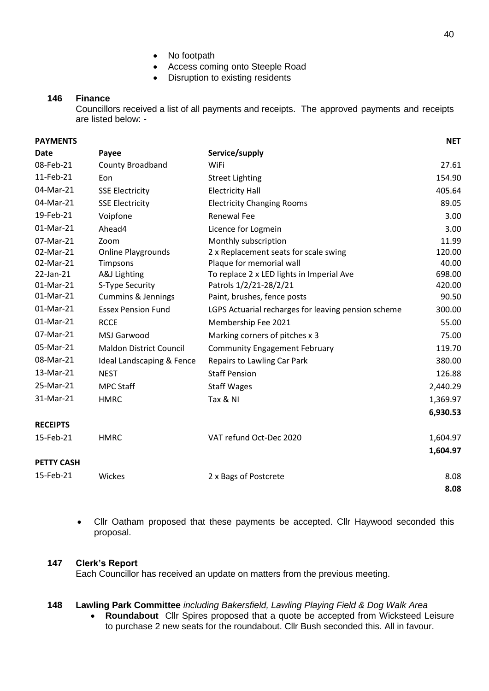- No footpath
- Access coming onto Steeple Road
- Disruption to existing residents

### **146 Finance**

Councillors received a list of all payments and receipts. The approved payments and receipts are listed below: -

| <b>PAYMENTS</b>   |                                |                                                     | <b>NET</b> |
|-------------------|--------------------------------|-----------------------------------------------------|------------|
| <b>Date</b>       | Payee                          | Service/supply                                      |            |
| 08-Feb-21         | County Broadband               | WiFi                                                | 27.61      |
| 11-Feb-21         | Eon                            | <b>Street Lighting</b>                              | 154.90     |
| 04-Mar-21         | <b>SSE Electricity</b>         | <b>Electricity Hall</b>                             | 405.64     |
| 04-Mar-21         | <b>SSE Electricity</b>         | <b>Electricity Changing Rooms</b>                   | 89.05      |
| 19-Feb-21         | Voipfone                       | <b>Renewal Fee</b>                                  | 3.00       |
| 01-Mar-21         | Ahead4                         | Licence for Logmein                                 | 3.00       |
| 07-Mar-21         | Zoom                           | Monthly subscription                                | 11.99      |
| 02-Mar-21         | <b>Online Playgrounds</b>      | 2 x Replacement seats for scale swing               | 120.00     |
| 02-Mar-21         | Timpsons                       | Plaque for memorial wall                            | 40.00      |
| 22-Jan-21         | A&J Lighting                   | To replace 2 x LED lights in Imperial Ave           | 698.00     |
| 01-Mar-21         | S-Type Security                | Patrols 1/2/21-28/2/21                              | 420.00     |
| 01-Mar-21         | <b>Cummins &amp; Jennings</b>  | Paint, brushes, fence posts                         | 90.50      |
| 01-Mar-21         | <b>Essex Pension Fund</b>      | LGPS Actuarial recharges for leaving pension scheme | 300.00     |
| 01-Mar-21         | <b>RCCE</b>                    | Membership Fee 2021                                 | 55.00      |
| 07-Mar-21         | MSJ Garwood                    | Marking corners of pitches x 3                      | 75.00      |
| 05-Mar-21         | <b>Maldon District Council</b> | <b>Community Engagement February</b>                | 119.70     |
| 08-Mar-21         | Ideal Landscaping & Fence      | Repairs to Lawling Car Park                         | 380.00     |
| 13-Mar-21         | <b>NEST</b>                    | <b>Staff Pension</b>                                | 126.88     |
| 25-Mar-21         | <b>MPC Staff</b>               | <b>Staff Wages</b>                                  | 2,440.29   |
| 31-Mar-21         | <b>HMRC</b>                    | Tax & NI                                            | 1,369.97   |
|                   |                                |                                                     | 6,930.53   |
| <b>RECEIPTS</b>   |                                |                                                     |            |
| 15-Feb-21         | <b>HMRC</b>                    | VAT refund Oct-Dec 2020                             | 1,604.97   |
|                   |                                |                                                     | 1,604.97   |
| <b>PETTY CASH</b> |                                |                                                     |            |
| 15-Feb-21         | Wickes                         | 2 x Bags of Postcrete                               | 8.08       |
|                   |                                |                                                     | 8.08       |

• Cllr Oatham proposed that these payments be accepted. Cllr Haywood seconded this proposal.

#### **147 Clerk's Report**

Each Councillor has received an update on matters from the previous meeting.

#### **148 Lawling Park Committee** *including Bakersfield, Lawling Playing Field & Dog Walk Area*

 **Roundabout** Cllr Spires proposed that a quote be accepted from Wicksteed Leisure to purchase 2 new seats for the roundabout. Cllr Bush seconded this. All in favour.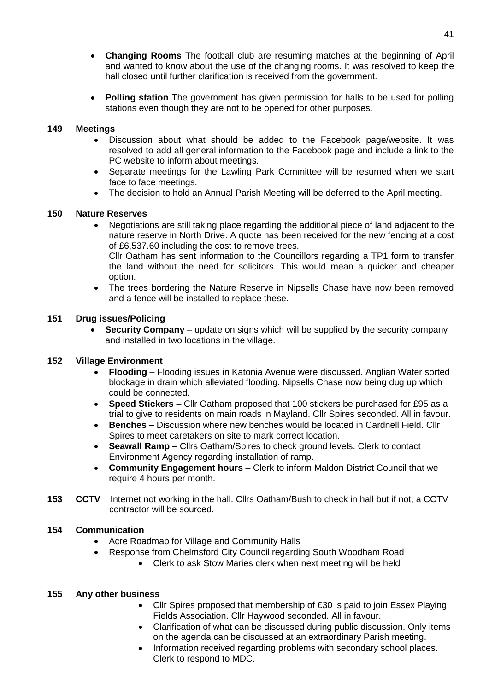- **Changing Rooms** The football club are resuming matches at the beginning of April and wanted to know about the use of the changing rooms. It was resolved to keep the hall closed until further clarification is received from the government.
- **Polling station** The government has given permission for halls to be used for polling stations even though they are not to be opened for other purposes.

### **149 Meetings**

- Discussion about what should be added to the Facebook page/website. It was resolved to add all general information to the Facebook page and include a link to the PC website to inform about meetings.
- Separate meetings for the Lawling Park Committee will be resumed when we start face to face meetings.
- The decision to hold an Annual Parish Meeting will be deferred to the April meeting.

# **150 Nature Reserves**

 Negotiations are still taking place regarding the additional piece of land adjacent to the nature reserve in North Drive. A quote has been received for the new fencing at a cost of £6,537.60 including the cost to remove trees.

Cllr Oatham has sent information to the Councillors regarding a TP1 form to transfer the land without the need for solicitors. This would mean a quicker and cheaper option.

 The trees bordering the Nature Reserve in Nipsells Chase have now been removed and a fence will be installed to replace these.

# **151 Drug issues/Policing**

 **Security Company** – update on signs which will be supplied by the security company and installed in two locations in the village.

# **152 Village Environment**

- **Flooding** Flooding issues in Katonia Avenue were discussed. Anglian Water sorted blockage in drain which alleviated flooding. Nipsells Chase now being dug up which could be connected.
- **Speed Stickers –** Cllr Oatham proposed that 100 stickers be purchased for £95 as a trial to give to residents on main roads in Mayland. Cllr Spires seconded. All in favour.
- **Benches –** Discussion where new benches would be located in Cardnell Field. Cllr Spires to meet caretakers on site to mark correct location.
- **Seawall Ramp –** Cllrs Oatham/Spires to check ground levels. Clerk to contact Environment Agency regarding installation of ramp.
- **Community Engagement hours –** Clerk to inform Maldon District Council that we require 4 hours per month.
- **153 CCTV** Internet not working in the hall. Cllrs Oatham/Bush to check in hall but if not, a CCTV contractor will be sourced.

# **154 Communication**

- Acre Roadmap for Village and Community Halls
- Response from Chelmsford City Council regarding South Woodham Road
	- Clerk to ask Stow Maries clerk when next meeting will be held

#### **155 Any other business**

- Cllr Spires proposed that membership of £30 is paid to join Essex Playing Fields Association. Cllr Haywood seconded. All in favour.
- Clarification of what can be discussed during public discussion. Only items on the agenda can be discussed at an extraordinary Parish meeting.
- Information received regarding problems with secondary school places. Clerk to respond to MDC.